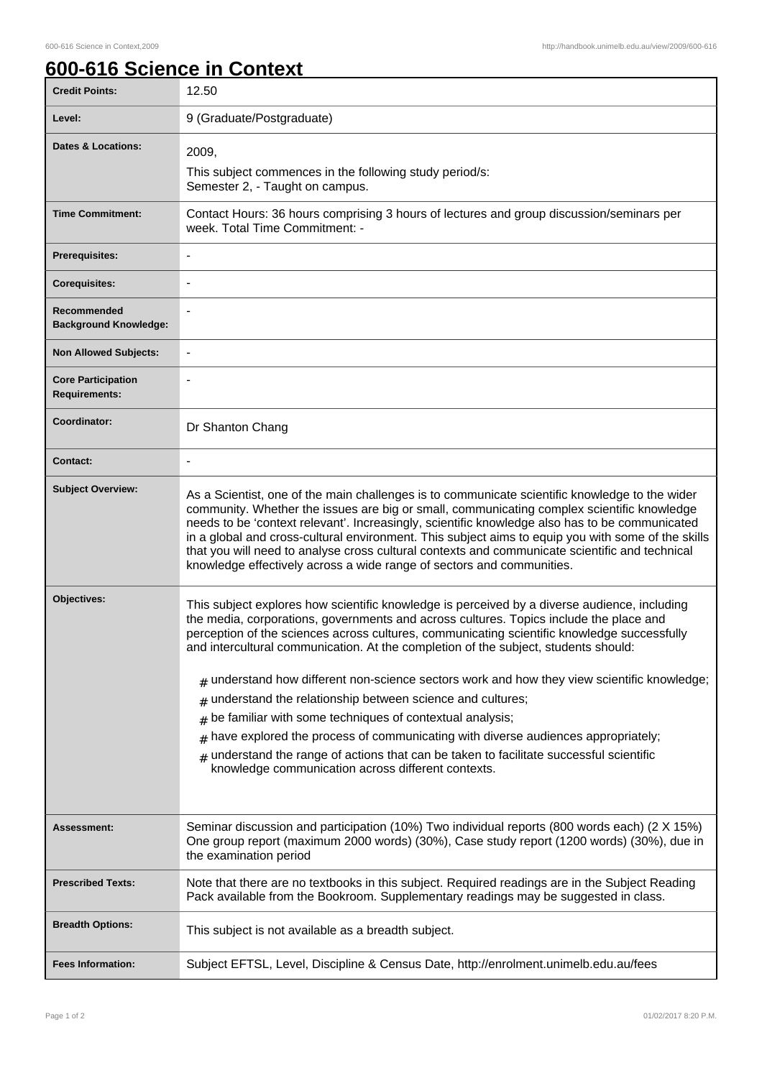٦

## **600-616 Science in Context**

| <b>Credit Points:</b>                       | 12.50                                                                                                                                                                                                                                                                                                                                                                                                                                                                                                                                                                                                                                                                                                                                                                                                                                                             |
|---------------------------------------------|-------------------------------------------------------------------------------------------------------------------------------------------------------------------------------------------------------------------------------------------------------------------------------------------------------------------------------------------------------------------------------------------------------------------------------------------------------------------------------------------------------------------------------------------------------------------------------------------------------------------------------------------------------------------------------------------------------------------------------------------------------------------------------------------------------------------------------------------------------------------|
| Level:                                      | 9 (Graduate/Postgraduate)                                                                                                                                                                                                                                                                                                                                                                                                                                                                                                                                                                                                                                                                                                                                                                                                                                         |
| <b>Dates &amp; Locations:</b>               | 2009,                                                                                                                                                                                                                                                                                                                                                                                                                                                                                                                                                                                                                                                                                                                                                                                                                                                             |
|                                             | This subject commences in the following study period/s:<br>Semester 2, - Taught on campus.                                                                                                                                                                                                                                                                                                                                                                                                                                                                                                                                                                                                                                                                                                                                                                        |
| <b>Time Commitment:</b>                     | Contact Hours: 36 hours comprising 3 hours of lectures and group discussion/seminars per<br>week. Total Time Commitment: -                                                                                                                                                                                                                                                                                                                                                                                                                                                                                                                                                                                                                                                                                                                                        |
| <b>Prerequisites:</b>                       |                                                                                                                                                                                                                                                                                                                                                                                                                                                                                                                                                                                                                                                                                                                                                                                                                                                                   |
| <b>Corequisites:</b>                        |                                                                                                                                                                                                                                                                                                                                                                                                                                                                                                                                                                                                                                                                                                                                                                                                                                                                   |
| Recommended<br><b>Background Knowledge:</b> |                                                                                                                                                                                                                                                                                                                                                                                                                                                                                                                                                                                                                                                                                                                                                                                                                                                                   |
| <b>Non Allowed Subjects:</b>                | $\overline{\phantom{a}}$                                                                                                                                                                                                                                                                                                                                                                                                                                                                                                                                                                                                                                                                                                                                                                                                                                          |
| <b>Core Participation</b><br>Requirements:  |                                                                                                                                                                                                                                                                                                                                                                                                                                                                                                                                                                                                                                                                                                                                                                                                                                                                   |
| Coordinator:                                | Dr Shanton Chang                                                                                                                                                                                                                                                                                                                                                                                                                                                                                                                                                                                                                                                                                                                                                                                                                                                  |
| <b>Contact:</b>                             |                                                                                                                                                                                                                                                                                                                                                                                                                                                                                                                                                                                                                                                                                                                                                                                                                                                                   |
| <b>Subject Overview:</b>                    | As a Scientist, one of the main challenges is to communicate scientific knowledge to the wider<br>community. Whether the issues are big or small, communicating complex scientific knowledge<br>needs to be 'context relevant'. Increasingly, scientific knowledge also has to be communicated<br>in a global and cross-cultural environment. This subject aims to equip you with some of the skills<br>that you will need to analyse cross cultural contexts and communicate scientific and technical<br>knowledge effectively across a wide range of sectors and communities.                                                                                                                                                                                                                                                                                   |
| Objectives:                                 | This subject explores how scientific knowledge is perceived by a diverse audience, including<br>the media, corporations, governments and across cultures. Topics include the place and<br>perception of the sciences across cultures, communicating scientific knowledge successfully<br>and intercultural communication. At the completion of the subject, students should:<br>$_{\#}$ understand how different non-science sectors work and how they view scientific knowledge;<br>understand the relationship between science and cultures;<br>#<br>be familiar with some techniques of contextual analysis;<br>#<br>have explored the process of communicating with diverse audiences appropriately;<br>#<br>understand the range of actions that can be taken to facilitate successful scientific<br>#<br>knowledge communication across different contexts. |
| Assessment:                                 | Seminar discussion and participation (10%) Two individual reports (800 words each) (2 X 15%)<br>One group report (maximum 2000 words) (30%), Case study report (1200 words) (30%), due in<br>the examination period                                                                                                                                                                                                                                                                                                                                                                                                                                                                                                                                                                                                                                               |
| <b>Prescribed Texts:</b>                    | Note that there are no textbooks in this subject. Required readings are in the Subject Reading<br>Pack available from the Bookroom. Supplementary readings may be suggested in class.                                                                                                                                                                                                                                                                                                                                                                                                                                                                                                                                                                                                                                                                             |
| <b>Breadth Options:</b>                     | This subject is not available as a breadth subject.                                                                                                                                                                                                                                                                                                                                                                                                                                                                                                                                                                                                                                                                                                                                                                                                               |
| <b>Fees Information:</b>                    | Subject EFTSL, Level, Discipline & Census Date, http://enrolment.unimelb.edu.au/fees                                                                                                                                                                                                                                                                                                                                                                                                                                                                                                                                                                                                                                                                                                                                                                              |